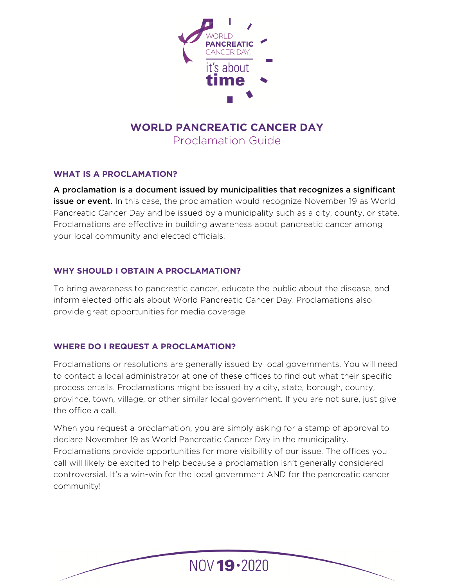

# **WORLD PANCREATIC CANCER DAY**  Proclamation Guide

#### **WHAT IS A PROCLAMATION?**

A proclamation is a document issued by municipalities that recognizes a significant **issue or event.** In this case, the proclamation would recognize November 19 as World Pancreatic Cancer Day and be issued by a municipality such as a city, county, or state. Proclamations are effective in building awareness about pancreatic cancer among your local community and elected officials.

#### **WHY SHOULD I OBTAIN A PROCLAMATION?**

To bring awareness to pancreatic cancer, educate the public about the disease, and inform elected officials about World Pancreatic Cancer Day. Proclamations also provide great opportunities for media coverage.

## **WHERE DO I REQUEST A PROCLAMATION?**

Proclamations or resolutions are generally issued by local governments. You will need to contact a local administrator at one of these offices to find out what their specific process entails. Proclamations might be issued by a city, state, borough, county, province, town, village, or other similar local government. If you are not sure, just give the office a call.

When you request a proclamation, you are simply asking for a stamp of approval to declare November 19 as World Pancreatic Cancer Day in the municipality. Proclamations provide opportunities for more visibility of our issue. The offices you call will likely be excited to help because a proclamation isn't generally considered controversial. It's a win-win for the local government AND for the pancreatic cancer community!